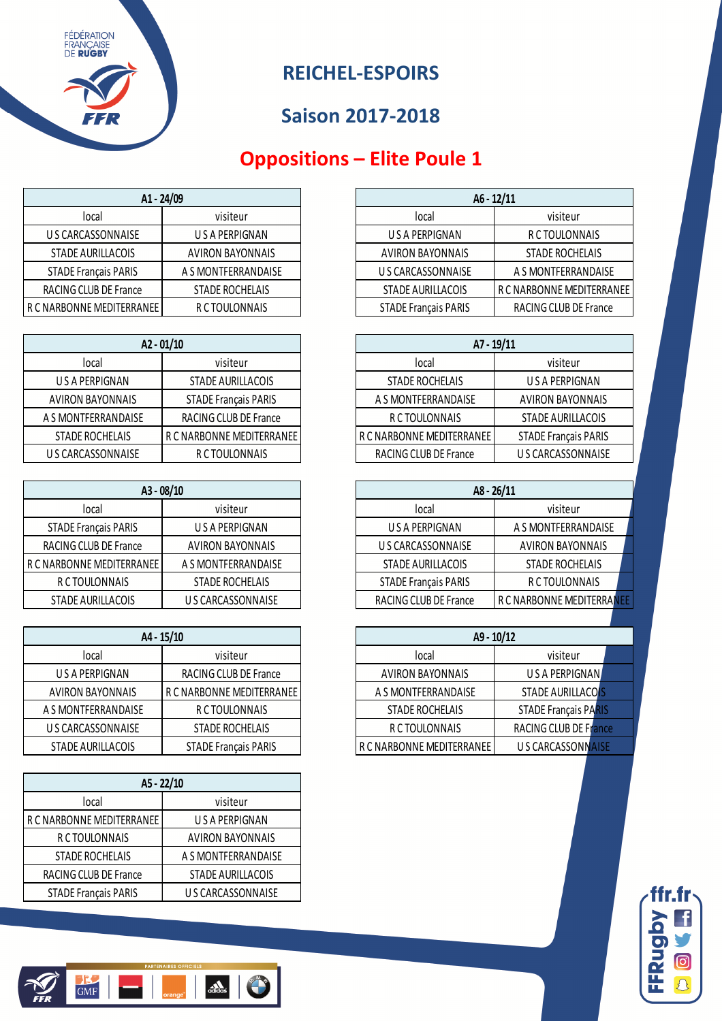

# **Oppositions – Elite Poule 1**

| A1 - 24/09                  |                     |                             | $A6 - 12/11$           |
|-----------------------------|---------------------|-----------------------------|------------------------|
| local                       | visiteur            | local                       | visiteur               |
| U S CARCASSONNAISE          | USA PERPIGNAN       | U S A PERPIGNAN             | R C TOULONNAIS         |
| <b>STADE AURILLACOIS</b>    | AVIRON BAYONNAIS    | <b>AVIRON BAYONNAIS</b>     | <b>STADE ROCHELAIS</b> |
| <b>STADE Français PARIS</b> | A S MONTFERRANDAISE | U S CARCASSONNAISE          | A S MONTFERRANDAISE    |
| RACING CLUB DE France       | STADE ROCHELAIS     | STADE AURILLACOIS           | R C NARBONNE MEDITERRA |
| R C NARBONNE MEDITERRANEE   | R C TOULONNAIS      | <b>STADE Français PARIS</b> | RACING CLUB DE France  |

| $A2 - 01/10$            |                             | $A7 - 19/11$              |                          |
|-------------------------|-----------------------------|---------------------------|--------------------------|
| local                   | visiteur                    | local                     | visiteur                 |
| U S A PERPIGNAN         | <b>STADE AURILLACOIS</b>    | STADE ROCHELAIS           | US A PERPIGNAN           |
| <b>AVIRON BAYONNAIS</b> | <b>STADE Français PARIS</b> | A S MONTFERRANDAISE       | <b>AVIRON BAYONNAIS</b>  |
| A S MONTFERRANDAISE     | RACING CLUB DE France       | R C TOULONNAIS            | <b>STADE AURILLACOIS</b> |
| STADE ROCHELAIS         | R C NARBONNE MEDITERRANEE   | R C NARBONNE MEDITERRANEE | STADE Français PARIS     |
| U S CARCASSONNAISE      | R C TOULONNAIS              | RACING CLUB DE France     | U S CARCASSONNAIS        |

| A3 - 08/10                  |                         | $A8 - 26/11$                |                         |
|-----------------------------|-------------------------|-----------------------------|-------------------------|
| local                       | visiteur                | local                       | visiteur                |
| <b>STADE Français PARIS</b> | USA PERPIGNAN           | U S A PERPIGNAN             | A S MONTFERRANDAIS      |
| RACING CLUB DE France       | <b>AVIRON BAYONNAIS</b> | U S CARCASSONNAISE          | <b>AVIRON BAYONNAIS</b> |
| R C NARBONNE MEDITERRANEE   | A S MONTFERRANDAISE     | STADE AURILLACOIS           | STADE ROCHELAIS         |
| R C TOULONNAIS              | STADE ROCHELAIS         | <b>STADE Français PARIS</b> | R C TOULONNAIS          |
| STADE AURILLACOIS           | U S CARCASSONNAISE      | RACING CLUB DE France       | R C NARBONNE MEDITERR.  |

| A4 - 15/10              |                             | $A9 - 10/12$              |                              |
|-------------------------|-----------------------------|---------------------------|------------------------------|
| local                   | visiteur                    | local                     | visiteur                     |
| U S A PERPIGNAN         | RACING CLUB DE France       | <b>AVIRON BAYONNAIS</b>   | USA PERPIGNAN                |
| <b>AVIRON BAYONNAIS</b> | R C NARBONNE MEDITERRANEE   | A S MONTFERRANDAISE       | <b>STADE AURILLACOIS</b>     |
| A S MONTFERRANDAISE     | R C TOULONNAIS              | STADE ROCHELAIS           | <b>STADE Francais PARIS</b>  |
| U S CARCASSONNAISE      | STADE ROCHELAIS             | R C TOULONNAIS            | <b>RACING CLUB DE France</b> |
| STADE AURILLACOIS       | <b>STADE Français PARIS</b> | R C NARBONNE MEDITERRANEE | <b>US CARCASSONNAISE</b>     |

| A5 - 22/10                  |                          |  |  |  |
|-----------------------------|--------------------------|--|--|--|
| local                       | visiteur                 |  |  |  |
| R C NARBONNE MEDITERRANEE   | U S A PERPIGNAN          |  |  |  |
| R C TOULONNAIS              | <b>AVIRON BAYONNAIS</b>  |  |  |  |
| <b>STADE ROCHELAIS</b>      | A S MONTFERRANDAISE      |  |  |  |
| RACING CLUB DE France       | <b>STADE AURILLACOIS</b> |  |  |  |
| <b>STADE Français PARIS</b> | U S CARCASSONNAISE       |  |  |  |

| A1 - 24/09                  |                         |                             | $A6 - 12/11$              |
|-----------------------------|-------------------------|-----------------------------|---------------------------|
| local                       | visiteur                | local                       | visiteur                  |
| U S CARCASSONNAISE          | U S A PERPIGNAN         | U S A PERPIGNAN             | R C TOULONNAIS            |
| STADE AURILLACOIS           | <b>AVIRON BAYONNAIS</b> | <b>AVIRON BAYONNAIS</b>     | STADE ROCHELAIS           |
| <b>STADE Français PARIS</b> | A S MONTFERRANDAISE     | U S CARCASSONNAISE          | A S MONTFERRANDAISE       |
| RACING CLUB DE France       | STADE ROCHELAIS         | <b>STADE AURILLACOIS</b>    | R C NARBONNE MEDITERRANEE |
| NARBONNE MEDITERRANEE       | R C TOULONNAIS          | <b>STADE Français PARIS</b> | RACING CLUB DE France     |

| $A2 - 01/10$       |                             | A7 - 19/11                |                             |
|--------------------|-----------------------------|---------------------------|-----------------------------|
| local              | visiteur                    | local                     | visiteur                    |
| U S A PERPIGNAN    | STADE AURILLACOIS           | STADE ROCHELAIS           | U S A PERPIGNAN             |
| AVIRON BAYONNAIS   | <b>STADE Francais PARIS</b> | A S MONTFERRANDAISE       | <b>AVIRON BAYONNAIS</b>     |
|                    | RACING CLUB DE France       | R C TOULONNAIS            | STADE AURILLACOIS           |
| STADE ROCHELAIS    | R C NARBONNE MEDITERRANEE   | R C NARBONNE MEDITERRANEE | <b>STADE Français PARIS</b> |
| U S CARCASSONNAISE | R C TOULONNAIS              | RACING CLUB DE France     | U S CARCASSONNAISE          |

| A3 - 08/10           |                         | $A8 - 26/11$                |                           |  |
|----------------------|-------------------------|-----------------------------|---------------------------|--|
| local                | visiteur                | local                       | visiteur                  |  |
| STADE Français PARIS | U S A PERPIGNAN         | U S A PERPIGNAN             | A S MONTFERRANDAISE       |  |
| ACING CLUB DE France | <b>AVIRON BAYONNAIS</b> | U S CARCASSONNAISE          | <b>AVIRON BAYONNAIS</b>   |  |
| ARBONNE MEDITERRANEE | A S MONTFERRANDAISE     | <b>STADE AURILLACOIS</b>    | <b>STADE ROCHELAIS</b>    |  |
| R C TOULONNAIS       | STADE ROCHELAIS         | <b>STADE Français PARIS</b> | R C TOULONNAIS            |  |
| STADE AURILLACOIS    | U S CARCASSONNAISE      | RACING CLUB DE France       | R C NARBONNE MEDITERRANEE |  |
|                      |                         |                             |                           |  |

| A4 - 15/10               |                             |                           | $A9 - 10/12$                |
|--------------------------|-----------------------------|---------------------------|-----------------------------|
| local                    | visiteur                    | local                     | visiteur                    |
| U S A PERPIGNAN          | RACING CLUB DE France       | <b>AVIRON BAYONNAIS</b>   | USA PERPIGNAN               |
| AVIRON BAYONNAIS         | R C NARBONNE MEDITERRANEE   | A S MONTFERRANDAISE       | <b>STADE AURILLACOIS</b>    |
| <b>S MONTFERRANDAISE</b> | R C TOULONNAIS              | STADE ROCHELAIS           | <b>STADE Français PARIS</b> |
| U S CARCASSONNAISE       | STADE ROCHELAIS             | R C TOULONNAIS            | RACING CLUB DE France       |
| STADE AURILLACOIS        | <b>STADE Français PARIS</b> | R C NARBONNE MEDITERRANEE | U S CARCASSONNAISE          |



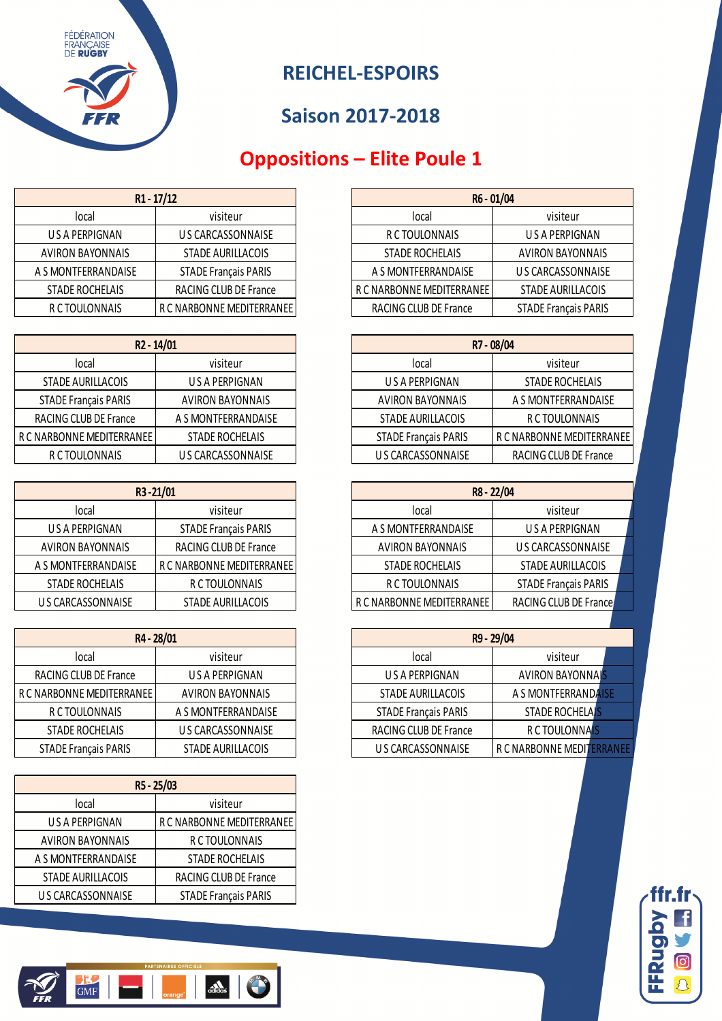

# **Oppositions – Elite Poule 1**

| $R1 - 17/12$            |                             | R6 - 01/04                |                             |
|-------------------------|-----------------------------|---------------------------|-----------------------------|
| local                   | visiteur                    | Tocal                     | visiteur                    |
| US A PERPIGNAN          | US CARCASSONNAISE           | R C TOULONNAIS            | U S A PERPIGNAN             |
| <b>AVIRON BAYONNAIS</b> | STADE AURILLACOIS           | <b>STADE ROCHELAIS</b>    | <b>AVIRON BAYONNAIS</b>     |
| A S MONTFERRANDAISE     | <b>STADE Français PARIS</b> | A S MONTFERRANDAISE       | U S CARCASSONNAISE          |
| STADE ROCHELAIS         | RACING CLUB DE France       | R C NARBONNE MEDITERRANEE | <b>STADE AURILLACOIS</b>    |
| R C TOULONNAIS          | R C NARBONNE MEDITERRANEE   | RACING CLUB DE France     | <b>STADE Français PARIS</b> |

| R <sub>2</sub> - 14/01      |                         |                             | R7 - 08/04           |
|-----------------------------|-------------------------|-----------------------------|----------------------|
| local                       | visiteur                | local                       | visiteur             |
| STADE AURILLACOIS           | US A PERPIGNAN          | US A PERPIGNAN              | STADE ROCHELAIS      |
| <b>STADE Français PARIS</b> | <b>AVIRON BAYONNAIS</b> | <b>AVIRON BAYONNAIS</b>     | A S MONTFERRANDA     |
| RACING CLUB DE France       | A S MONTFERRANDAISE     | STADE AURILLACOIS           | R C TOULONNAIS       |
| R C NARBONNE MEDITERRANEE   | STADE ROCHELAIS         | <b>STADE Français PARIS</b> | R C NARBONNE MEDITER |
| R C TOULONNAIS              | US CARCASSONNAISE       | US CARCASSONNAISE           | RACING CLUB DE Fran  |

| R3-21/01                |                             | R8 - 22/04                |                             |
|-------------------------|-----------------------------|---------------------------|-----------------------------|
| local                   | visiteur                    | local                     | visiteur                    |
| U S A PERPIGNAN         | <b>STADE Français PARIS</b> | A S MONTFERRANDAISE       | U S A PERPIGNAN             |
| <b>AVIRON BAYONNAIS</b> | RACING CLUB DE France       | <b>AVIRON BAYONNAIS</b>   | U S CARCASSONNAIS           |
| A S MONTFERRANDAISE     | R C NARBONNE MEDITERRANEE   | <b>STADE ROCHELAIS</b>    | STADE AURILLACOIS           |
| STADE ROCHELAIS         | R C TOULONNAIS              | R C TOULONNAIS            | <b>STADE Français PARIS</b> |
| US CARCASSONNAISE       | <b>STADE AURILLACOIS</b>    | R C NARBONNE MEDITERRANEE | RACING CLUB DE Franc        |

| R4 - 28/01                  |                         |                             | R9 - 29/04              |
|-----------------------------|-------------------------|-----------------------------|-------------------------|
| local                       | visiteur                | local                       | visiteur                |
| RACING CLUB DE France       | U S A PERPIGNAN         | U S A PERPIGNAN             | <b>AVIRON BAYONNAIS</b> |
| R C NARBONNE MEDITERRANEE   | <b>AVIRON BAYONNAIS</b> | STADE AURILLACOIS           | A S MONTFERRANDAISE     |
| R C TOULONNAIS              | A S MONTFERRANDAISE     | <b>STADE Français PARIS</b> | <b>STADE ROCHELAIS</b>  |
| STADE ROCHELAIS             | U S CARCASSONNAISE      | RACING CLUB DE France       | R C TOULONNAIS          |
| <b>STADE Français PARIS</b> | STADE AURILLACOIS       | US CARCASSONNAISE           | R C NARBONNE MEDITERRAI |

| R5 - 25/03               |                             |  |  |
|--------------------------|-----------------------------|--|--|
| local                    | visiteur                    |  |  |
| <b>USA PERPIGNAN</b>     | R C NARBONNE MEDITERRANEE   |  |  |
| <b>AVIRON BAYONNAIS</b>  | R C TOULONNAIS              |  |  |
| A S MONTFERRANDAISE      | <b>STADE ROCHELAIS</b>      |  |  |
| <b>STADE AURILLACOIS</b> | RACING CLUB DE France       |  |  |
| US CARCASSONNAISE        | <b>STADE Français PARIS</b> |  |  |

|  | <b>PARTENAIRES OFFICIELS</b> |  |
|--|------------------------------|--|
|  |                              |  |

| $R1 - 17/12$    |                             | R6 - 01/04                |                             |
|-----------------|-----------------------------|---------------------------|-----------------------------|
| local           | visiteur                    | local                     | visiteur                    |
| U S A PERPIGNAN | US CARCASSONNAISE           | R C TOULONNAIS            | US A PERPIGNAN              |
| VIRON BAYONNAIS | <b>STADE AURILLACOIS</b>    | STADE ROCHELAIS           | <b>AVIRON BAYONNAIS</b>     |
| MONTFERRANDAISE | <b>STADE Français PARIS</b> | A S MONTFERRANDAISE       | U S CARCASSONNAISE          |
| STADE ROCHELAIS | RACING CLUB DE France       | R C NARBONNE MEDITERRANEE | <b>STADE AURILLACOIS</b>    |
| R C TOULONNAIS  | R C NARBONNE MEDITERRANEE   | RACING CLUB DE France     | <b>STADE Français PARIS</b> |

| R <sub>2</sub> - 14/01      |                         |                             | R7 - 08/04                |
|-----------------------------|-------------------------|-----------------------------|---------------------------|
| local                       | visiteur                | local                       | visiteur                  |
| STADE AURILLACOIS           | U S A PERPIGNAN         | U S A PERPIGNAN             | STADE ROCHELAIS           |
| <b>STADE Français PARIS</b> | <b>AVIRON BAYONNAIS</b> | <b>AVIRON BAYONNAIS</b>     | A S MONTFERRANDAISE       |
| RACING CLUB DE France       | A S MONTFERRANDAISE     | STADE AURILLACOIS           | R C TOULONNAIS            |
| R C NARBONNE MEDITERRANEE   | STADE ROCHELAIS         | <b>STADE Français PARIS</b> | R C NARBONNE MEDITERRANEE |
| R C TOULONNAIS              | U S CARCASSONNAISE      | U S CARCASSONNAISE          | RACING CLUB DE France     |

| R3-21/01                |                             | R8 - 22/04                |                             |  |
|-------------------------|-----------------------------|---------------------------|-----------------------------|--|
| local                   | visiteur                    | local                     | visiteur                    |  |
| U S A PERPIGNAN         | <b>STADE Français PARIS</b> | A S MONTFERRANDAISE       | US A PERPIGNAN              |  |
| <b>AVIRON BAYONNAIS</b> | RACING CLUB DE France       | <b>AVIRON BAYONNAIS</b>   | U S CARCASSONNAISE          |  |
|                         | R C NARBONNE MEDITERRANEE   | STADE ROCHELAIS           | <b>STADE AURILLACOIS</b>    |  |
| STADE ROCHELAIS         | R C TOULONNAIS              | R C TOULONNAIS            | <b>STADE Français PARIS</b> |  |
| U S CARCASSONNAISE      | STADE AURILLACOIS           | R C NARBONNE MEDITERRANEE | RACING CLUB DE France       |  |
|                         |                             |                           |                             |  |

| R4 - 28/01             |                         | R9 - 29/04                  |                           |
|------------------------|-------------------------|-----------------------------|---------------------------|
| local                  | visiteur                | local                       | visiteur                  |
| ACING CLUB DE France   | U S A PERPIGNAN         | U S A PERPIGNAN             | <b>AVIRON BAYONNAIS</b>   |
| ARBONNE MEDITERRANEE I | <b>AVIRON BAYONNAIS</b> | STADE AURILLACOIS           | A S MONTFERRANDAISE       |
| R C TOULONNAIS         | A S MONTFERRANDAISE     | <b>STADE Français PARIS</b> | <b>STADE ROCHELAIS</b>    |
| STADE ROCHELAIS        | U S CARCASSONNAISE      | RACING CLUB DE France       | <b>R C TOULONNAIS</b>     |
| STADE Français PARIS   | STADE AURILLACOIS       | U S CARCASSONNAISE          | R C NARBONNE MEDITERRANEE |

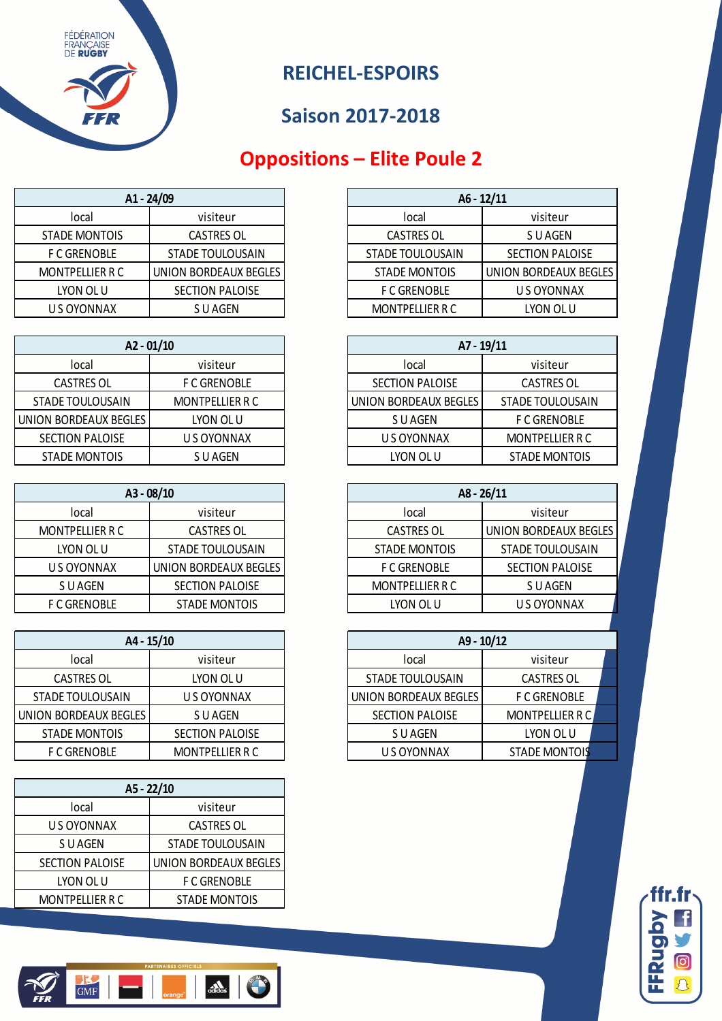

### **Oppositions – Elite Poule 2**

| A1 - 24/09           |                         |                         | $A6 - 12/11$        |
|----------------------|-------------------------|-------------------------|---------------------|
| local                | visiteur                | local                   | visiteur            |
| <b>STADE MONTOIS</b> | <b>CASTRES OL</b>       | <b>CASTRES OL</b>       | S U AGEN            |
| <b>F C GRENOBLE</b>  | <b>STADE TOULOUSAIN</b> | <b>STADE TOULOUSAIN</b> | <b>SECTION PALO</b> |
| MONTPELLIER R C      | UNION BORDEAUX BEGLES   | <b>STADE MONTOIS</b>    | UNION BORDEAUX      |
| LYON OL U            | SECTION PALOISE         | <b>F C GRENOBLE</b>     | U S OYONNA          |
| U S OYONNAX          | S U AGEN                | <b>MONTPELLIER R C</b>  | LYON OL U           |
|                      |                         |                         |                     |

| $A2 - 01/10$          |                     |                        | $A7 - 19/11$         |
|-----------------------|---------------------|------------------------|----------------------|
| local                 | visiteur            | local                  | visiteur             |
| <b>CASTRES OL</b>     | <b>F C GRENOBLE</b> | <b>SECTION PALOISE</b> | <b>CASTRES OL</b>    |
| STADE TOULOUSAIN      | MONTPELLIER R C     | UNION BORDEAUX BEGLES  | STADE TOULOUSA       |
| UNION BORDEAUX BEGLES | LYON OL U           | S U AGEN               | <b>F C GRENOBLE</b>  |
| SECTION PALOISE       | U S OYONNAX         | U S OYONNAX            | <b>MONTPELLIER R</b> |
| STADE MONTOIS         | S U AGEN            | LYON OL U              | STADE MONTOI         |

| A3 - 08/10             |                         |  |  |
|------------------------|-------------------------|--|--|
| local                  | visiteur                |  |  |
| <b>MONTPELLIER R C</b> | <b>CASTRES OL</b>       |  |  |
| LYON OL U              | <b>STADE TOULOUSAIN</b> |  |  |
| U S OYONNAX            | UNION BORDEAUX BEGLES   |  |  |
| S U AGEN               | <b>SECTION PALOISE</b>  |  |  |
| <b>F C GRENOBLE</b>    | <b>STADE MONTOIS</b>    |  |  |

| $A4 - 15/10$            |                        |                        | $A9 - 10/12$           |
|-------------------------|------------------------|------------------------|------------------------|
| local                   | visiteur               | local                  | visiteur               |
| <b>CASTRES OL</b>       | LYON OL U              | STADE TOULOUSAIN       | <b>CASTRES OL</b>      |
| <b>STADE TOULOUSAIN</b> | U S OYONNAX            | UNION BORDEAUX BEGLES  | <b>F C GRENOBLE</b>    |
| UNION BORDEAUX BEGLES   | S U AGEN               | <b>SECTION PALOISE</b> | <b>MONTPELLIER R C</b> |
| <b>STADE MONTOIS</b>    | <b>SECTION PALOISE</b> | S U AGEN               | LYON OL U              |
| <b>F C GRENOBLE</b>     | <b>MONTPELLIER R C</b> | U S OYONNAX            | <b>STADE MONTOIS</b>   |

| A5 - 22/10             |                         |  |  |
|------------------------|-------------------------|--|--|
| local                  | visiteur                |  |  |
| U S OYONNAX            | <b>CASTRES OL</b>       |  |  |
| S U AGEN               | <b>STADE TOULOUSAIN</b> |  |  |
| <b>SECTION PALOISE</b> | UNION BORDEAUX BEGLES   |  |  |
| LYON OL U              | <b>F C GRENOBLE</b>     |  |  |
| <b>MONTPELLIER R C</b> | <b>STADE MONTOIS</b>    |  |  |

|                     | A1 - 24/09            |  | $A6 - 12/11$           |                        |
|---------------------|-----------------------|--|------------------------|------------------------|
| local               | visiteur              |  | local                  | visiteur               |
| STADE MONTOIS       | <b>CASTRES OL</b>     |  | <b>CASTRES OL</b>      | S U AGEN               |
| <b>F C GRENOBLE</b> | STADE TOULOUSAIN      |  | STADE TOULOUSAIN       | <b>SECTION PALOISE</b> |
| MONTPELLIER R C     | UNION BORDEAUX BEGLES |  | <b>STADE MONTOIS</b>   | UNION BORDEAUX BEGLES  |
| LYON OL U           | SECTION PALOISE       |  | <b>F C GRENOBLE</b>    | U S OYONNAX            |
| U S OYONNAX         | S U AGEN              |  | <b>MONTPELLIER R C</b> | LYON OL U              |

|                        | $A2 - 01/10$        |  | A7 - 19/11             |                         |
|------------------------|---------------------|--|------------------------|-------------------------|
| local                  | visiteur            |  | Tocal                  | visiteur                |
| <b>CASTRES OL</b>      | <b>F C GRENOBLE</b> |  | <b>SECTION PALOISE</b> | <b>CASTRES OL</b>       |
| STADE TOULOUSAIN       | MONTPELLIER R C     |  | UNION BORDEAUX BEGLES  | <b>STADE TOULOUSAIN</b> |
| ION BORDEAUX BEGLES    | LYON OL U           |  | S U AGEN               | <b>F C GRENOBLE</b>     |
| <b>SECTION PALOISE</b> | U S OYONNAX         |  | U S OYONNAX            | <b>MONTPELLIER R C</b>  |
| <b>STADE MONTOIS</b>   | S U AGEN            |  | LYON OL U              | <b>STADE MONTOIS</b>    |

| $A3 - 08/10$        |                        | $A8 - 26/11$           |                         |
|---------------------|------------------------|------------------------|-------------------------|
| local               | visiteur               | local                  | visiteur                |
| MONTPELLIER R C     | <b>CASTRES OL</b>      | <b>CASTRES OL</b>      | UNION BORDEAUX BEGLES   |
| LYON OL U           | STADE TOULOUSAIN       | STADE MONTOIS          | <b>STADE TOULOUSAIN</b> |
| U S OYONNAX         | UNION BORDEAUX BEGLES  | <b>F C GRENOBLE</b>    | <b>SECTION PALOISE</b>  |
| S U AGEN            | <b>SECTION PALOISE</b> | <b>MONTPELLIER R C</b> | S U AGEN                |
| <b>F C GRENOBLE</b> | <b>STADE MONTOIS</b>   | LYON OL U              | U S OYONNAX             |

| A4 - 15/10            |                        | $A9 - 10/12$            |                        |  |
|-----------------------|------------------------|-------------------------|------------------------|--|
| local                 | visiteur               | local                   | visiteur               |  |
| <b>CASTRES OL</b>     | LYON OL U              | <b>STADE TOULOUSAIN</b> | <b>CASTRES OL</b>      |  |
| <b>NDE TOULOUSAIN</b> | U S OYONNAX            | UNION BORDEAUX BEGLES   | <b>F C GRENOBLE</b>    |  |
| I BORDEAUX BEGLES     | S U AGEN               | <b>SECTION PALOISE</b>  | <b>MONTPELLIER R C</b> |  |
| TADE MONTOIS          | <b>SECTION PALOISE</b> | S U AGEN                | LYON OL U              |  |
| <b>F C GRENOBLE</b>   | <b>MONTPELLIER R C</b> | U S OYONNAX             | <b>STADE MONTOIS</b>   |  |



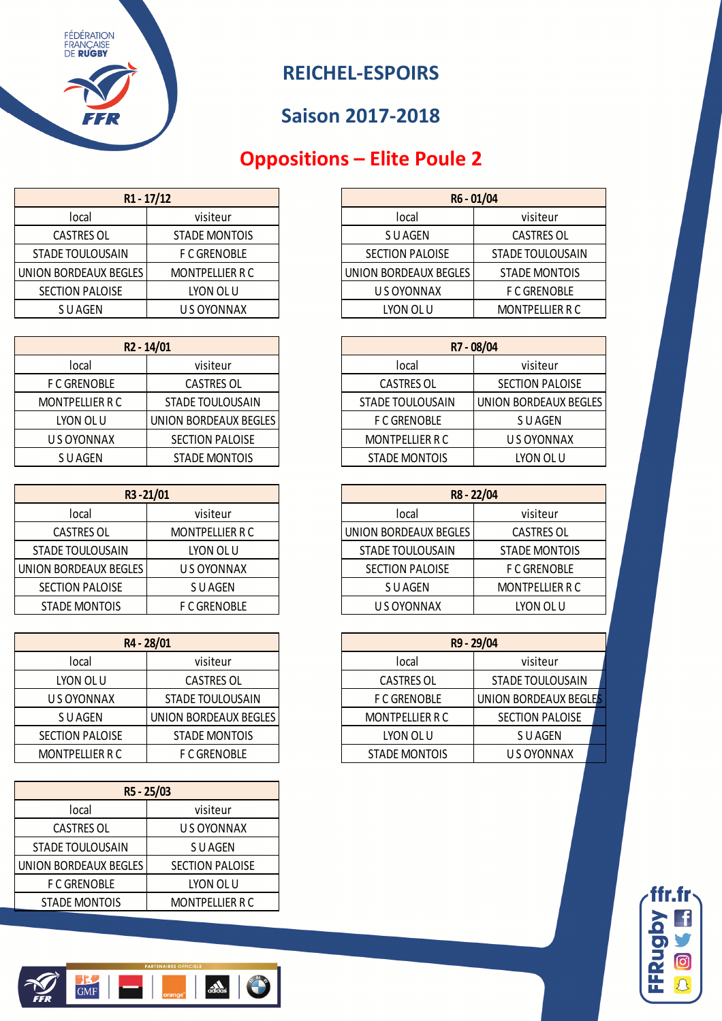

# **Oppositions – Elite Poule 2**

| $R1 - 17/12$            |                     | R6 - 01/04             |                        |
|-------------------------|---------------------|------------------------|------------------------|
| local                   | visiteur            | local                  | visiteur               |
| <b>CASTRES OL</b>       | STADE MONTOIS       | S U AGEN               | <b>CASTRES OL</b>      |
| <b>STADE TOULOUSAIN</b> | <b>F C GRENOBLE</b> | <b>SECTION PALOISE</b> | <b>STADE TOULOUSAI</b> |
| UNION BORDEAUX BEGLES   | MONTPELLIER R C     | UNION BORDEAUX BEGLES  | <b>STADE MONTOIS</b>   |
| <b>SECTION PALOISE</b>  | LYON OL U           | U S OYONNAX            | <b>F C GRENOBLE</b>    |
| S U AGEN                | U S OYONNAX         | LYON OL U              | <b>MONTPELLIER R C</b> |
|                         |                     |                        |                        |

| R <sub>2</sub> - 14/01 |                        |  |  |  |
|------------------------|------------------------|--|--|--|
| local                  | visiteur               |  |  |  |
| <b>F C GRENOBLE</b>    | <b>CASTRES OL</b>      |  |  |  |
| <b>MONTPELLIER R C</b> | STADE TOULOUSAIN       |  |  |  |
| LYON OL U              | UNION BORDEAUX BEGLES  |  |  |  |
| U S OYONNAX            | <b>SECTION PALOISE</b> |  |  |  |
| S U AGEN               | <b>STADE MONTOIS</b>   |  |  |  |

| R3-21/01               |                        | R8 - 22/04              |                        |
|------------------------|------------------------|-------------------------|------------------------|
| local                  | visiteur               | local                   | visiteur               |
| <b>CASTRES OL</b>      | <b>MONTPELLIER R C</b> | UNION BORDEAUX BEGLES   | <b>CASTRES OL</b>      |
| STADE TOULOUSAIN       | LYON OL U              | <b>STADE TOULOUSAIN</b> | <b>STADE MONTOIS</b>   |
| UNION BORDEAUX BEGLES  | U S OYONNAX            | <b>SECTION PALOISE</b>  | <b>F C GRENOBLE</b>    |
| <b>SECTION PALOISE</b> | S U AGEN               | S U AGEN                | <b>MONTPELLIER R C</b> |
| <b>STADE MONTOIS</b>   | <b>F C GRENOBLE</b>    | U S OYONNAX             | LYON OL U              |

|                        | R4 - 28/01            |                      | R9 - 29/04          |
|------------------------|-----------------------|----------------------|---------------------|
| local                  | visiteur              | local                | visiteur            |
| LYON OL U              | <b>CASTRES OL</b>     | <b>CASTRES OL</b>    | <b>STADE TOULOL</b> |
| U S OYONNAX            | STADE TOULOUSAIN      | <b>F C GRENOBLE</b>  | UNION BORDEAU)      |
| S U AGEN               | UNION BORDEAUX BEGLES | MONTPELLIER R C      | <b>SECTION PALO</b> |
| <b>SECTION PALOISE</b> | <b>STADE MONTOIS</b>  | LYON OL U            | S U AGEN            |
| <b>MONTPELLIER R C</b> | <b>F C GRENOBLE</b>   | <b>STADE MONTOIS</b> | US OYONN            |

| R5 - 25/03              |                        |  |  |  |
|-------------------------|------------------------|--|--|--|
| local                   | visiteur               |  |  |  |
| <b>CASTRES OL</b>       | U S OYONNAX            |  |  |  |
| <b>STADE TOULOUSAIN</b> | S U AGEN               |  |  |  |
| UNION BORDEAUX BEGLES   | <b>SECTION PALOISE</b> |  |  |  |
| <b>F C GRENOBLE</b>     | LYON OL U              |  |  |  |
| <b>STADE MONTOIS</b>    | <b>MONTPELLIER R C</b> |  |  |  |

| $R1 - 17/12$           |  | R6 - 01/04             |                        |
|------------------------|--|------------------------|------------------------|
| visiteur               |  | local                  | visiteur               |
| STADE MONTOIS          |  | S U AGEN               | <b>CASTRES OL</b>      |
| <b>F C GRENOBLE</b>    |  | <b>SECTION PALOISE</b> | STADE TOULOUSAIN       |
| <b>MONTPELLIER R C</b> |  | UNION BORDEAUX BEGLES  | <b>STADE MONTOIS</b>   |
| LYON OL U              |  | U S OYONNAX            | <b>F C GRENOBLE</b>    |
| U S OYONNAX            |  | LYON OL U              | <b>MONTPELLIER R C</b> |
|                        |  |                        |                        |

|                     | R <sub>2</sub> - 14/01 | R7 - 08/04              |                        |
|---------------------|------------------------|-------------------------|------------------------|
| local               | visiteur               | local                   | visiteur               |
| <b>F C GRENOBLE</b> | <b>CASTRES OL</b>      | <b>CASTRES OL</b>       | <b>SECTION PALOISE</b> |
| MONTPELLIER R C     | STADE TOULOUSAIN       | <b>STADE TOULOUSAIN</b> | UNION BORDEAUX BEGLES  |
| LYON OL U           | UNION BORDEAUX BEGLES  | <b>F C GRENOBLE</b>     | S U AGEN               |
| U S OYONNAX         | <b>SECTION PALOISE</b> | MONTPELLIER R C         | US OYONNAX             |
| S U AGEN            | <b>STADE MONTOIS</b>   | <b>STADE MONTOIS</b>    | LYON OL U              |

| R3-21/01               |                        | R8 - 22/04             |                        |
|------------------------|------------------------|------------------------|------------------------|
| local                  | visiteur               | local                  | visiteur               |
| <b>CASTRES OL</b>      | <b>MONTPELLIER R C</b> | UNION BORDEAUX BEGLES  | <b>CASTRES OL</b>      |
| TADE TOULOUSAIN        | LYON OL U              | STADE TOULOUSAIN       | STADE MONTOIS          |
| ON BORDEAUX BEGLES     | U S OYONNAX            | <b>SECTION PALOISE</b> | <b>F C GRENOBLE</b>    |
| <b>SECTION PALOISE</b> | S U AGEN               | S U AGEN               | <b>MONTPELLIER R C</b> |
| STADE MONTOIS          | <b>F C GRENOBLE</b>    | U S OYONNAX            | LYON OL U              |

| R4 - 28/01             |                       |                        | R9 - 29/04              |  |
|------------------------|-----------------------|------------------------|-------------------------|--|
| local                  | visiteur              | local                  | visiteur                |  |
| LYON OL U              | <b>CASTRES OL</b>     | <b>CASTRES OL</b>      | <b>STADE TOULOUSAIN</b> |  |
| U S OYONNAX            | STADE TOULOUSAIN      | <b>F C GRENOBLE</b>    | UNION BORDEAUX BEGLES   |  |
| S U AGEN               | UNION BORDEAUX BEGLES | <b>MONTPELLIER R C</b> | <b>SECTION PALOISE</b>  |  |
| <b>SECTION PALOISE</b> | <b>STADE MONTOIS</b>  | LYON OL U              | S U AGEN                |  |
| MONTPELLIER R C        | <b>F C GRENOBLE</b>   | <b>STADE MONTOIS</b>   | U S OYONNAX             |  |



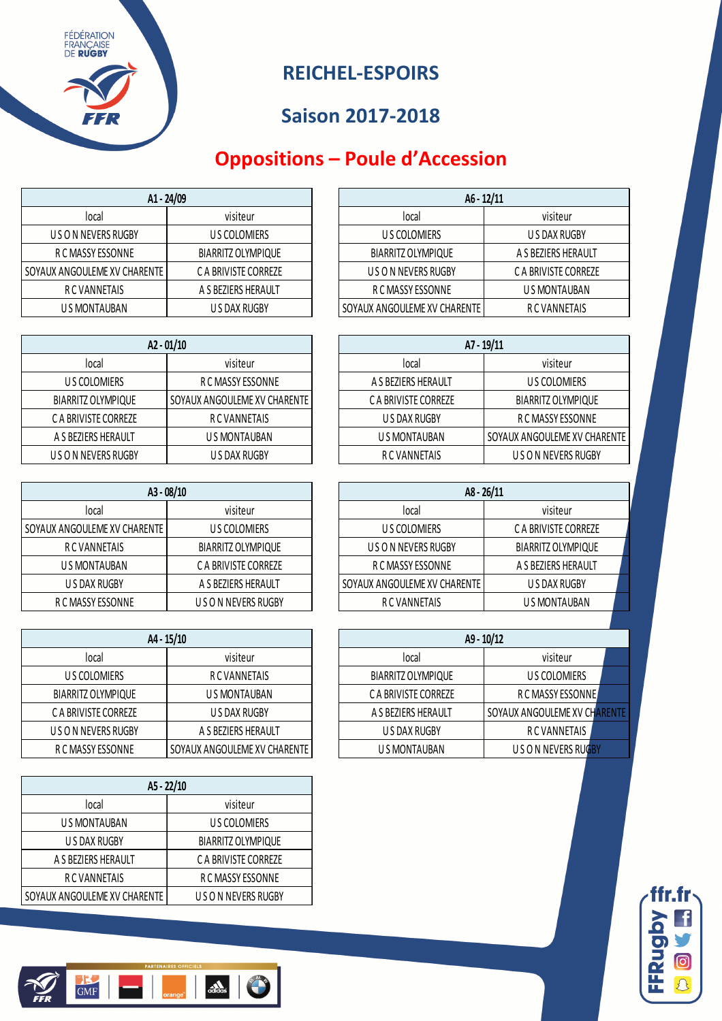#### **REICHEL-ESPOIRS**

### **Saison 2017-2018**

# **Oppositions – Poule d'Accession**

| A1 - 24/09                   |                      | $A6 - 12/11$                 |                      |
|------------------------------|----------------------|------------------------------|----------------------|
| local                        | visiteur             | local                        | visiteur             |
| U S O N NEVERS RUGBY         | U S COLOMIERS        | U S COLOMIERS                | U S DAX RUGBY        |
| R C MASSY ESSONNE            | BIARRITZ OLYMPIQUE   | <b>BIARRITZ OLYMPIQUE</b>    | A S BEZIERS HERAULT  |
| SOYAUX ANGOULEME XV CHARENTE | C A BRIVISTE CORREZE | U S O N NEVERS RUGBY         | C A BRIVISTE CORREZE |
| R C VANNETAIS                | A S BEZIERS HERAULT  | R C MASSY ESSONNE            | U S MONTAUBAN        |
| U S MONTAUBAN                | U S DAX RUGBY        | SOYAUX ANGOULEME XV CHARENTE | R C VANNETAIS        |

| $A2 - 01/10$         |                              |                      | A7 - 19/11                |
|----------------------|------------------------------|----------------------|---------------------------|
| local                | visiteur                     | local                | visiteur                  |
| U S COLOMIERS        | R C MASSY ESSONNE            | A S BEZIERS HERAULT  | US COLOMIERS              |
| BIARRITZ OLYMPIQUE   | SOYAUX ANGOULEME XV CHARENTE | C A BRIVISTE CORREZE | <b>BIARRITZ OLYMPIQUE</b> |
| C A BRIVISTE CORREZE | <b>RCVANNETAIS</b>           | U S DAX RUGBY        | R C MASSY ESSONNE         |
| A S BEZIERS HERAULT  | U S MONTAUBAN                | U S MONTAUBAN        | SOYAUX ANGOULEME XV CHA   |
| U S O N NEVERS RUGBY | U S DAX RUGBY                | R C VANNETAIS        | U S O N NEVERS RUGBY      |

| $A3 - 08/10$                 |                      | $A8 - 26/11$                   |                           |
|------------------------------|----------------------|--------------------------------|---------------------------|
| local                        | visiteur             | local                          | visiteur                  |
| SOYAUX ANGOULEME XV CHARENTE | U S COLOMIERS        | U S COLOMIERS                  | C A BRIVISTE CORREZE      |
| R C VANNETAIS                | BIARRITZ OLYMPIQUE   | U S O N NEVERS RUGBY           | <b>BIARRITZ OLYMPIQUE</b> |
| U S MONTAUBAN                | C A BRIVISTE CORREZE | R C MASSY ESSONNE              | A S BEZIERS HERAULT       |
| U S DAX RUGBY                | A S BEZIERS HERAULT  | I SOYAUX ANGOULEME XV CHARENTE | U S DAX RUGBY             |
| R C MASSY ESSONNE            | U S O N NEVERS RUGBY | R C VANNETAIS                  | U S MONTAUBAN             |

| A4 - 15/10                |                              |                           | A9 - 10/12             |
|---------------------------|------------------------------|---------------------------|------------------------|
| local                     | visiteur                     | local                     | visiteur               |
| US COLOMIERS              | <b>RCVANNETAIS</b>           | <b>BIARRITZ OLYMPIQUE</b> | <b>US COLOMIERS</b>    |
| <b>BIARRITZ OLYMPIQUE</b> | U S MONTAUBAN                | C A BRIVISTE CORREZE      | R C MASSY ESSONNE      |
| C A BRIVISTE CORREZE      | U S DAX RUGBY                | A S BEZIERS HERAULT       | SOYAUX ANGOULEME XV CH |
| U S O N NEVERS RUGBY      | A S BEZIERS HERAULT          | U S DAX RUGBY             | R C VANNETAIS          |
| R C MASSY ESSONNE         | SOYAUX ANGOULEME XV CHARENTE | U S MONTAUBAN             | U S O N NEVERS RUGB    |

| A5 - 22/10                   |                      |  |  |  |
|------------------------------|----------------------|--|--|--|
| local                        | visiteur             |  |  |  |
| U S MONTAUBAN                | <b>US COLOMIERS</b>  |  |  |  |
| U S DAX RUGBY                | BIARRITZ OLYMPIQUE   |  |  |  |
| A S BEZIERS HERAULT          | C A BRIVISTE CORREZE |  |  |  |
| R C VANNETAIS                | R C MASSY ESSONNE    |  |  |  |
| SOYAUX ANGOULEME XV CHARENTE | U S O N NEVERS RUGBY |  |  |  |

|                         | A1 - 24/09           |  | $A6 - 12/11$                 |                      |  |
|-------------------------|----------------------|--|------------------------------|----------------------|--|
| local                   | visiteur             |  | local                        | visiteur             |  |
| IS O N NEVERS RUGBY     | U S COLOMIERS        |  | U S COLOMIERS                | U S DAX RUGBY        |  |
| R C MASSY ESSONNE       | BIARRITZ OLYMPIQUE   |  | BIARRITZ OLYMPIQUE           | A S BEZIERS HERAULT  |  |
| ANGOULEME XV CHARENTE I | C A BRIVISTE CORREZE |  | U S O N NEVERS RUGBY         | C A BRIVISTE CORREZE |  |
| R C VANNETAIS           | A S BEZIERS HERAULT  |  | R C MASSY ESSONNE            | U S MONTAUBAN        |  |
| U S MONTAUBAN           | U S DAX RUGBY        |  | SOYAUX ANGOULEME XV CHARENTE | R C VANNETAIS        |  |

| $A2 - 01/10$         |                              |                      | A7 - 19/11                   |
|----------------------|------------------------------|----------------------|------------------------------|
| local                | visiteur                     | local                | visiteur                     |
| U S COLOMIERS        | R C MASSY ESSONNE            | A S BEZIERS HERAULT  | US COLOMIERS                 |
| BIARRITZ OLYMPIQUE   | SOYAUX ANGOULEME XV CHARENTE | C A BRIVISTE CORREZE | BIARRITZ OLYMPIQUE           |
| C A BRIVISTE CORREZE | R C VANNETAIS                | U S DAX RUGBY        | R C MASSY ESSONNE            |
| A S BEZIERS HERAULT  | U S MONTAUBAN                | U S MONTAUBAN        | SOYAUX ANGOULEME XV CHARENTE |
| U S O N NEVERS RUGBY | U S DAX RUGBY                | R C VANNETAIS        | U S O N NEVERS RUGBY         |

| A3-08/10              |                           | A8 - 26/11                   |                           |  |
|-----------------------|---------------------------|------------------------------|---------------------------|--|
| local                 | visiteur                  | local                        | visiteur                  |  |
| ANGOULEME XV CHARENTE | U S COLOMIERS             | U S COLOMIERS                | C A BRIVISTE CORREZE      |  |
| R C VANNETAIS         | <b>BIARRITZ OLYMPIQUE</b> | U S O N NEVERS RUGBY         | <b>BIARRITZ OLYMPIQUE</b> |  |
| U S MONTAUBAN         | C A BRIVISTE CORREZE      | R C MASSY ESSONNE            | A S BEZIERS HERAULT       |  |
| U S DAX RUGBY         | A S BEZIERS HERAULT       | SOYAUX ANGOULEME XV CHARENTE | U S DAX RUGBY             |  |
| R C MASSY ESSONNE     | U S O N NEVERS RUGBY      | R C VANNETAIS                | U S MONTAUBAN             |  |
|                       |                           |                              |                           |  |

| A4 - 15/10           |                              |                           | A9 - 10/12                   |  |
|----------------------|------------------------------|---------------------------|------------------------------|--|
| local                | visiteur                     | local                     | visiteur                     |  |
| US COLOMIERS         | <b>RC VANNETAIS</b>          | <b>BIARRITZ OLYMPIQUE</b> | US COLOMIERS                 |  |
| BIARRITZ OLYMPIQUE   | U S MONTAUBAN                | C A BRIVISTE CORREZE      | R C MASSY ESSONNE            |  |
| C A BRIVISTE CORREZE | U S DAX RUGBY                | A S BEZIERS HERAULT       | SOYAUX ANGOULEME XV CHARENTE |  |
| J S O N NEVERS RUGBY | A S BEZIERS HERAULT          | U S DAX RUGBY             | R C VANNETAIS                |  |
| R C MASSY ESSONNE    | SOYAUX ANGOULEME XV CHARENTE | U S MONTAUBAN             | U S O N NEVERS RUGBY         |  |